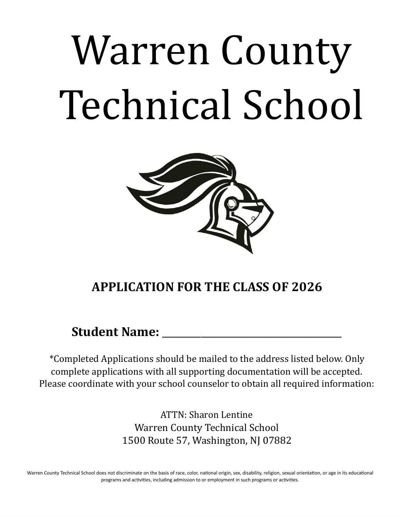# Warren County Technical School



## **APPLICATION FOR THE CLASS OF 2026**

### **Student Name:** \_\_\_\_\_\_\_\_\_\_\_\_\_\_\_\_\_\_\_\_\_\_\_\_\_\_\_\_\_\_\_\_\_\_\_\_\_

\*Completed Applications should be mailed to the address listed below. Only complete applications with all supporting documentation will be accepted. Please coordinate with your school counselor to obtain all required information:

> ATTN: Sharon Lentine Warren County Technical School 1500 Route 57, Washington, NJ 07882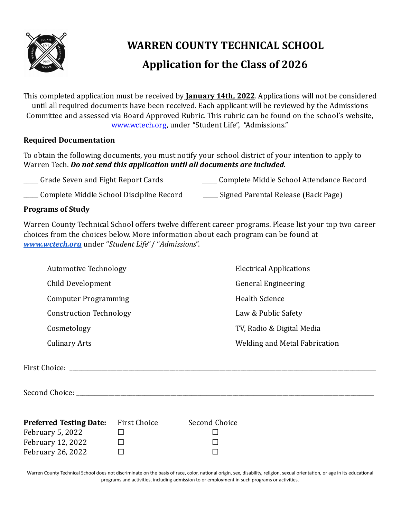

## **WARREN COUNTY TECHNICAL SCHOOL Application for the Class of 2026**

This completed application must be received by **January 14th, 2022**. Applications will not be considered until all required documents have been received. Each applicant will be reviewed by the Admissions Committee and assessed via Board Approved Rubric. This rubric can be found on the school's website, www.wctech.org, under "Student Life", "Admissions."

#### **Required Documentation**

To obtain the following documents, you must notify your school district of your intention to apply to Warren Tech. *Do not send this application until all documents are included.*

\_\_\_\_\_ Complete Middle School Discipline Record \_\_\_\_\_ Signed Parental Release (Back Page)

#### **Programs of Study**

Warren County Technical School offers twelve different career programs. Please list your top two career choices from the choices below. More information about each program can be found at *[www.wctech.org](http://www.wctech.org/)* under "*Student Life*"/ "*Admissions*".

| <b>Automotive Technology</b>   | <b>Electrical Applications</b> |  |
|--------------------------------|--------------------------------|--|
| Child Development              | <b>General Engineering</b>     |  |
| <b>Computer Programming</b>    | <b>Health Science</b>          |  |
| <b>Construction Technology</b> | Law & Public Safety            |  |
| Cosmetology                    | TV, Radio & Digital Media      |  |
| <b>Culinary Arts</b>           | Welding and Metal Fabrication  |  |
|                                |                                |  |
| First Choice:                  |                                |  |

Second Choice:

| <b>Preferred Testing Date:</b> | First Choice | Second Choice |
|--------------------------------|--------------|---------------|
| February 5, 2022               |              |               |
| February 12, 2022              |              |               |
| <b>February 26, 2022</b>       |              |               |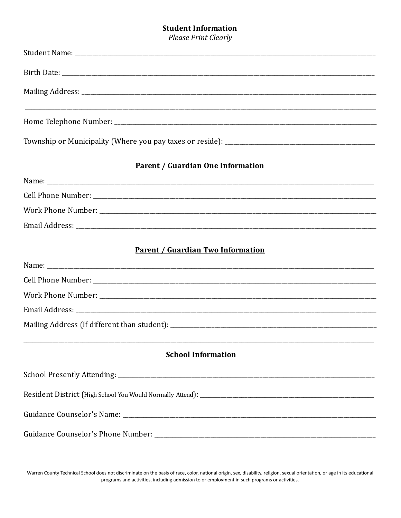#### **Student Information**

**Please Print Clearly** 

| <b>Parent / Guardian One Information</b> |  |
|------------------------------------------|--|
|                                          |  |
|                                          |  |
|                                          |  |
|                                          |  |
|                                          |  |
| <b>Parent / Guardian Two Information</b> |  |
|                                          |  |
|                                          |  |
|                                          |  |
|                                          |  |
|                                          |  |
|                                          |  |
| <b>School Information</b>                |  |
|                                          |  |
|                                          |  |
|                                          |  |
|                                          |  |